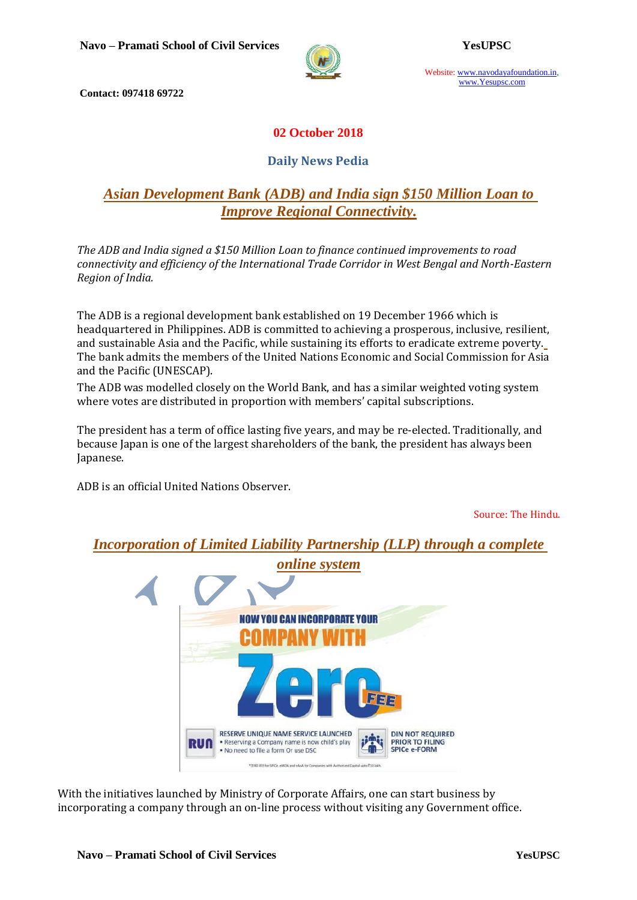

Website: www.navodayafoundation.in, www.Yesupsc.com

**Contact: 097418 69722**

## **02 October 2018**

### **Daily News Pedia**

## *[Asian Development Bank \(ADB\) and India sign \\$150 Million Loan to](https://www.civilsdaily.com/news/pib-asian-development-bank-adb-and-india-sign-150-million-loan-to-improve-regional-connectivity/)  [Improve Regional Connectivity.](https://www.civilsdaily.com/news/pib-asian-development-bank-adb-and-india-sign-150-million-loan-to-improve-regional-connectivity/)*

*The ADB and India signed a \$150 Million Loan to finance continued improvements to road connectivity and efficiency of the International Trade Corridor in West Bengal and North-Eastern Region of India.*

The ADB is a regional development bank established on 19 December 1966 which is headquartered in Philippines. ADB is committed to achieving a prosperous, inclusive, resilient, and sustainable Asia and the Pacific, while sustaining its efforts to eradicate extreme poverty. The bank admits the members of the United Nations Economic and Social Commission for Asia and the Pacific (UNESCAP).

The ADB was modelled closely on the World Bank, and has a similar weighted voting system where votes are distributed in proportion with members' capital subscriptions.

The president has a term of office lasting five years, and may be re-elected. Traditionally, and because Japan is one of the largest shareholders of the bank, the president has always been Japanese.

ADB is an official United Nations Observer.

Source: The Hindu.

*Incorporation of Limited Liability Partnership (LLP) through a complete*



With the initiatives launched by Ministry of Corporate Affairs, one can start business by incorporating a company through an on-line process without visiting any Government office.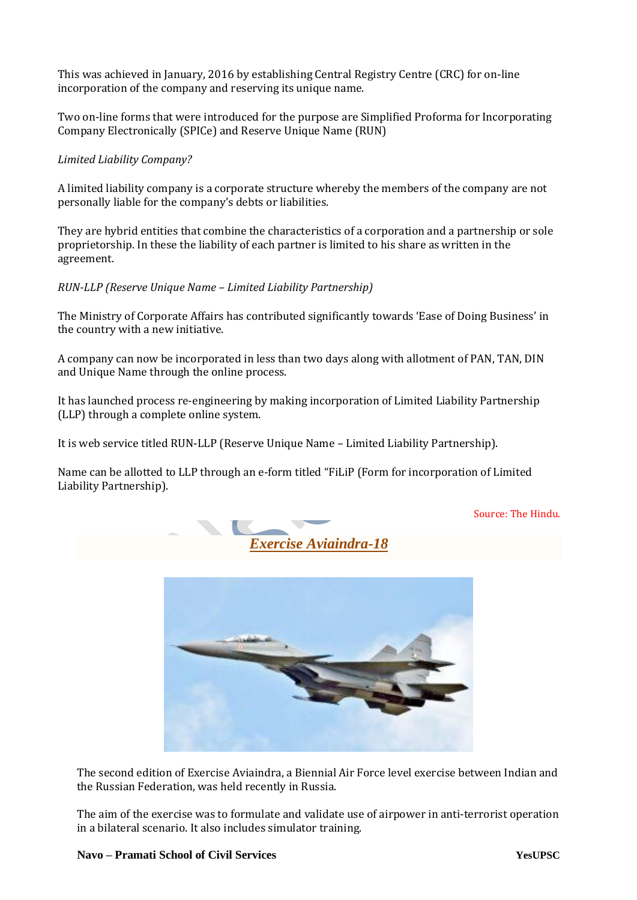This was achieved in January, 2016 by establishing Central Registry Centre (CRC) for on-line incorporation of the company and reserving its unique name.

Two on-line forms that were introduced for the purpose are Simplified Proforma for Incorporating Company Electronically (SPICe) and Reserve Unique Name (RUN)

#### *Limited Liability Company?*

A limited liability company is a corporate structure whereby the members of the company are not personally liable for the company's debts or liabilities.

They are hybrid entities that combine the characteristics of a corporation and a partnership or sole proprietorship. In these the liability of each partner is limited to his share as written in the agreement.

*RUN-LLP (Reserve Unique Name – Limited Liability Partnership)*

The Ministry of Corporate Affairs has contributed significantly towards 'Ease of Doing Business' in the country with a new initiative.

A company can now be incorporated in less than two days along with allotment of PAN, TAN, DIN and Unique Name through the online process.

It has launched process re-engineering by making incorporation of Limited Liability Partnership (LLP) through a complete online system.

It is web service titled RUN-LLP (Reserve Unique Name – Limited Liability Partnership).

Name can be allotted to LLP through an e-form titled "FiLiP (Form for incorporation of Limited Liability Partnership).





The second edition of Exercise Aviaindra, a Biennial Air Force level exercise between Indian and the Russian Federation, was held recently in Russia.

The aim of the exercise was to formulate and validate use of airpower in anti-terrorist operation in a bilateral scenario. It also includes simulator training.

Source: The Hindu.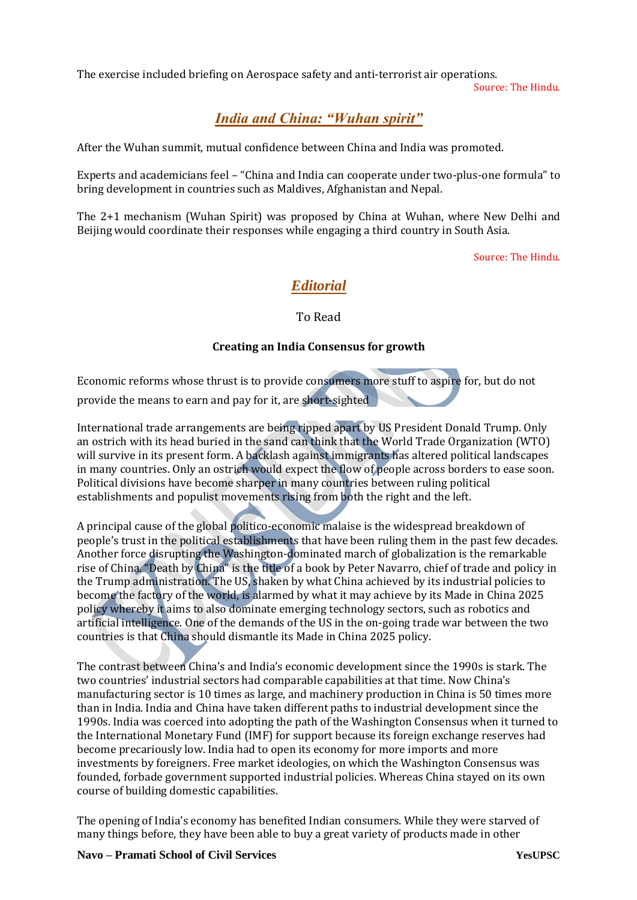The exercise included briefing on Aerospace safety and anti-terrorist air operations.

Source: The Hindu.

# *India and China: "Wuhan spirit"*

After the Wuhan summit, mutual confidence between China and India was promoted.

Experts and academicians feel – "China and India can cooperate under two-plus-one formula" to bring development in countries such as Maldives, Afghanistan and Nepal.

The 2+1 mechanism (Wuhan Spirit) was proposed by China at Wuhan, where New Delhi and Beijing would coordinate their responses while engaging a third country in South Asia.

Source: The Hindu.

# *Editorial*

To Read

#### **Creating an India Consensus for growth**

Economic reforms whose thrust is to provide consumers more stuff to aspire for, but do not provide the means to earn and pay for it, are short-sighted

International trade arrangements are being ripped apart by US President Donald Trump. Only an ostrich with its head buried in the sand can think that the World Trade Organization (WTO) will survive in its present form. A backlash against immigrants has altered political landscapes in many countries. Only an ostrich would expect the flow of people across borders to ease soon. Political divisions have become sharper in many countries between ruling political establishments and populist movements rising from both the right and the left.

A principal cause of the global politico-economic malaise is the widespread breakdown of people's trust in the political establishments that have been ruling them in the past few decades. Another force disrupting the Washington-dominated march of globalization is the remarkable rise of China. "Death by China" is the title of a book by Peter Navarro, chief of trade and policy in the Trump administration. The US, shaken by what China achieved by its industrial policies to become the factory of the world, is alarmed by what it may achieve by its Made in China 2025 policy whereby it aims to also dominate emerging technology sectors, such as robotics and artificial intelligence. One of the demands of the US in the on-going trade war between the two countries is that China should dismantle its Made in China 2025 policy.

The contrast between China's and India's economic development since the 1990s is stark. The two countries' industrial sectors had comparable capabilities at that time. Now China's manufacturing sector is 10 times as large, and machinery production in China is 50 times more than in India. India and China have taken different paths to industrial development since the 1990s. India was coerced into adopting the path of the Washington Consensus when it turned to the International Monetary Fund (IMF) for support because its foreign exchange reserves had become precariously low. India had to open its economy for more imports and more investments by foreigners. Free market ideologies, on which the Washington Consensus was founded, forbade government supported industrial policies. Whereas China stayed on its own course of building domestic capabilities.

The opening of India's economy has benefited Indian consumers. While they were starved of many things before, they have been able to buy a great variety of products made in other